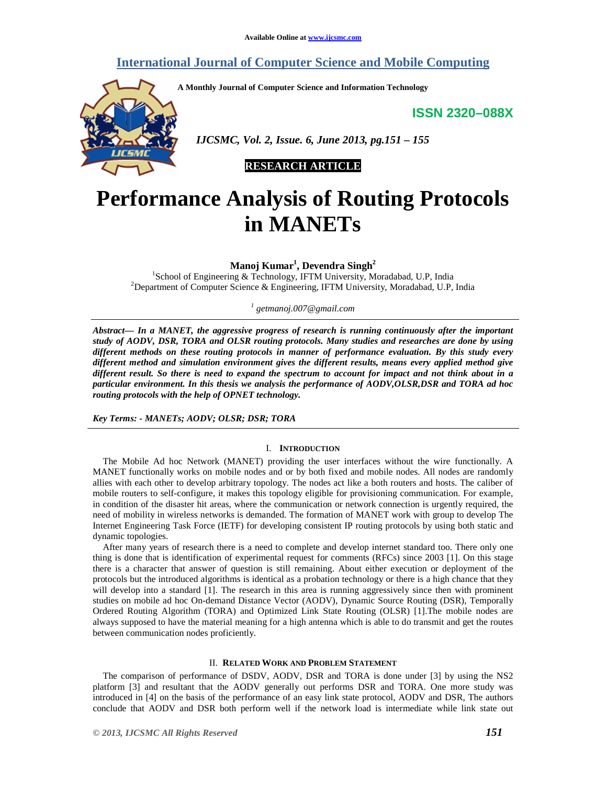# **International Journal of Computer Science and Mobile Computing**

**A Monthly Journal of Computer Science and Information Technology** 

**ISSN 2320–088X**



 *IJCSMC, Vol. 2, Issue. 6, June 2013, pg.151 – 155* 

**RESEARCH ARTICLE** 

# **Performance Analysis of Routing Protocols in MANETs**

**Manoj Kumar<sup>1</sup> , Devendra Singh<sup>2</sup>**

1 School of Engineering & Technology, IFTM University, Moradabad, U.P, India <sup>2</sup>Department of Computer Science & Engineering, IFTM University, Moradabad, U.P, India

*1 getmanoj.007@gmail.com*

*Abstract— In a MANET, the aggressive progress of research is running continuously after the important study of AODV, DSR, TORA and OLSR routing protocols. Many studies and researches are done by using different methods on these routing protocols in manner of performance evaluation. By this study every different method and simulation environment gives the different results, means every applied method give different result. So there is need to expand the spectrum to account for impact and not think about in a particular environment. In this thesis we analysis the performance of AODV,OLSR,DSR and TORA ad hoc routing protocols with the help of OPNET technology.* 

*Key Terms: - MANETs; AODV; OLSR; DSR; TORA* 

## I. **INTRODUCTION**

The Mobile Ad hoc Network (MANET) providing the user interfaces without the wire functionally. A MANET functionally works on mobile nodes and or by both fixed and mobile nodes. All nodes are randomly allies with each other to develop arbitrary topology. The nodes act like a both routers and hosts. The caliber of mobile routers to self-configure, it makes this topology eligible for provisioning communication. For example, in condition of the disaster hit areas, where the communication or network connection is urgently required, the need of mobility in wireless networks is demanded. The formation of MANET work with group to develop The Internet Engineering Task Force (IETF) for developing consistent IP routing protocols by using both static and dynamic topologies.

After many years of research there is a need to complete and develop internet standard too. There only one thing is done that is identification of experimental request for comments (RFCs) since 2003 [1]. On this stage there is a character that answer of question is still remaining. About either execution or deployment of the protocols but the introduced algorithms is identical as a probation technology or there is a high chance that they will develop into a standard [1]. The research in this area is running aggressively since then with prominent studies on mobile ad hoc On-demand Distance Vector (AODV), Dynamic Source Routing (DSR), Temporally Ordered Routing Algorithm (TORA) and Optimized Link State Routing (OLSR) [1].The mobile nodes are always supposed to have the material meaning for a high antenna which is able to do transmit and get the routes between communication nodes proficiently.

### II. **RELATED WORK AND PROBLEM STATEMENT**

The comparison of performance of DSDV, AODV, DSR and TORA is done under [3] by using the NS2 platform [3] and resultant that the AODV generally out performs DSR and TORA. One more study was introduced in [4] on the basis of the performance of an easy link state protocol, AODV and DSR, The authors conclude that AODV and DSR both perform well if the network load is intermediate while link state out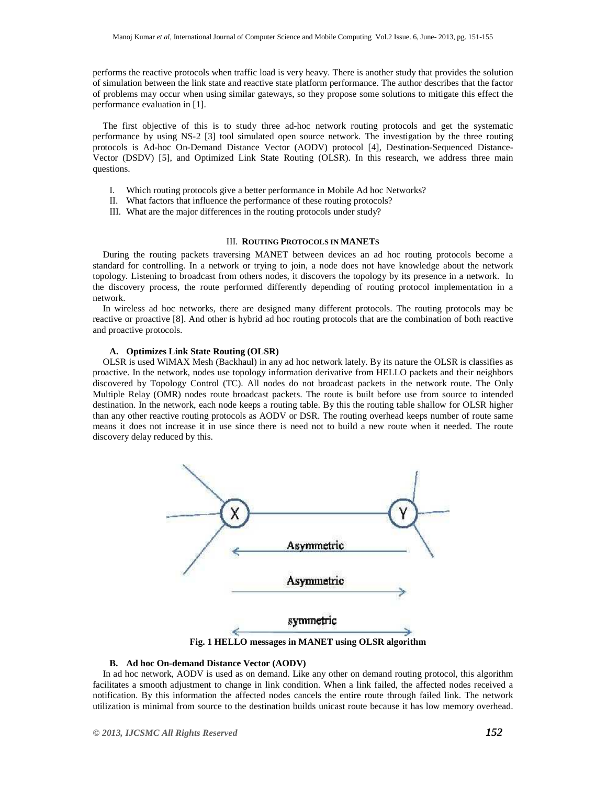performs the reactive protocols when traffic load is very heavy. There is another study that provides the solution of simulation between the link state and reactive state platform performance. The author describes that the factor of problems may occur when using similar gateways, so they propose some solutions to mitigate this effect the performance evaluation in [1].

The first objective of this is to study three ad-hoc network routing protocols and get the systematic performance by using NS-2 [3] tool simulated open source network. The investigation by the three routing protocols is Ad-hoc On-Demand Distance Vector (AODV) protocol [4], Destination-Sequenced Distance-Vector (DSDV) [5], and Optimized Link State Routing (OLSR). In this research, we address three main questions.

- I. Which routing protocols give a better performance in Mobile Ad hoc Networks?
- II. What factors that influence the performance of these routing protocols?
- III. What are the major differences in the routing protocols under study?

# III. **ROUTING PROTOCOLS IN MANETS**

During the routing packets traversing MANET between devices an ad hoc routing protocols become a standard for controlling. In a network or trying to join, a node does not have knowledge about the network topology. Listening to broadcast from others nodes, it discovers the topology by its presence in a network. In the discovery process, the route performed differently depending of routing protocol implementation in a network.

In wireless ad hoc networks, there are designed many different protocols. The routing protocols may be reactive or proactive [8]. And other is hybrid ad hoc routing protocols that are the combination of both reactive and proactive protocols.

#### **A. Optimizes Link State Routing (OLSR)**

OLSR is used WiMAX Mesh (Backhaul) in any ad hoc network lately. By its nature the OLSR is classifies as proactive. In the network, nodes use topology information derivative from HELLO packets and their neighbors discovered by Topology Control (TC). All nodes do not broadcast packets in the network route. The Only Multiple Relay (OMR) nodes route broadcast packets. The route is built before use from source to intended destination. In the network, each node keeps a routing table. By this the routing table shallow for OLSR higher than any other reactive routing protocols as AODV or DSR. The routing overhead keeps number of route same means it does not increase it in use since there is need not to build a new route when it needed. The route discovery delay reduced by this.



**Fig. 1 HELLO messages in MANET using OLSR algorithm**

# **B. Ad hoc On-demand Distance Vector (AODV)**

In ad hoc network, AODV is used as on demand. Like any other on demand routing protocol, this algorithm facilitates a smooth adjustment to change in link condition. When a link failed, the affected nodes received a notification. By this information the affected nodes cancels the entire route through failed link. The network utilization is minimal from source to the destination builds unicast route because it has low memory overhead.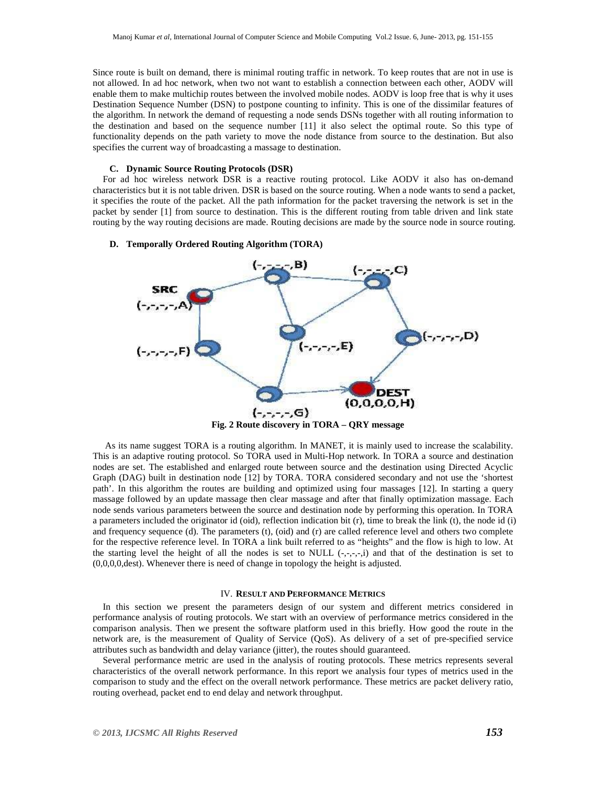Since route is built on demand, there is minimal routing traffic in network. To keep routes that are not in use is not allowed. In ad hoc network, when two not want to establish a connection between each other, AODV will enable them to make multichip routes between the involved mobile nodes. AODV is loop free that is why it uses Destination Sequence Number (DSN) to postpone counting to infinity. This is one of the dissimilar features of the algorithm. In network the demand of requesting a node sends DSNs together with all routing information to the destination and based on the sequence number [11] it also select the optimal route. So this type of functionality depends on the path variety to move the node distance from source to the destination. But also specifies the current way of broadcasting a massage to destination.

#### **C. Dynamic Source Routing Protocols (DSR)**

For ad hoc wireless network DSR is a reactive routing protocol. Like AODV it also has on-demand characteristics but it is not table driven. DSR is based on the source routing. When a node wants to send a packet, it specifies the route of the packet. All the path information for the packet traversing the network is set in the packet by sender [1] from source to destination. This is the different routing from table driven and link state routing by the way routing decisions are made. Routing decisions are made by the source node in source routing.

#### **D. Temporally Ordered Routing Algorithm (TORA)**



**Fig. 2 Route discovery in TORA – QRY message** 

 As its name suggest TORA is a routing algorithm. In MANET, it is mainly used to increase the scalability. This is an adaptive routing protocol. So TORA used in Multi-Hop network. In TORA a source and destination nodes are set. The established and enlarged route between source and the destination using Directed Acyclic Graph (DAG) built in destination node [12] by TORA. TORA considered secondary and not use the 'shortest path'. In this algorithm the routes are building and optimized using four massages [12]. In starting a query massage followed by an update massage then clear massage and after that finally optimization massage. Each node sends various parameters between the source and destination node by performing this operation. In TORA a parameters included the originator id (oid), reflection indication bit (r), time to break the link (t), the node id (i) and frequency sequence (d). The parameters (t), (oid) and (r) are called reference level and others two complete for the respective reference level. In TORA a link built referred to as "heights" and the flow is high to low. At the starting level the height of all the nodes is set to NULL  $(-,-,-,1)$  and that of the destination is set to (0,0,0,0,dest). Whenever there is need of change in topology the height is adjusted.

#### IV. **RESULT AND PERFORMANCE METRICS**

In this section we present the parameters design of our system and different metrics considered in performance analysis of routing protocols. We start with an overview of performance metrics considered in the comparison analysis. Then we present the software platform used in this briefly. How good the route in the network are, is the measurement of Quality of Service (QoS). As delivery of a set of pre-specified service attributes such as bandwidth and delay variance (jitter), the routes should guaranteed.

Several performance metric are used in the analysis of routing protocols. These metrics represents several characteristics of the overall network performance. In this report we analysis four types of metrics used in the comparison to study and the effect on the overall network performance. These metrics are packet delivery ratio, routing overhead, packet end to end delay and network throughput.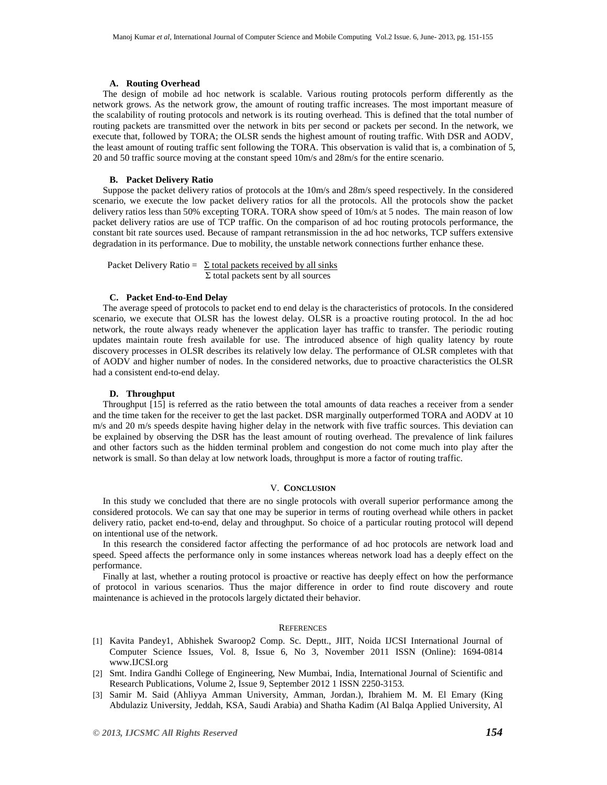#### **A. Routing Overhead**

The design of mobile ad hoc network is scalable. Various routing protocols perform differently as the network grows. As the network grow, the amount of routing traffic increases. The most important measure of the scalability of routing protocols and network is its routing overhead. This is defined that the total number of routing packets are transmitted over the network in bits per second or packets per second. In the network, we execute that, followed by TORA; the OLSR sends the highest amount of routing traffic. With DSR and AODV, the least amount of routing traffic sent following the TORA. This observation is valid that is, a combination of 5, 20 and 50 traffic source moving at the constant speed 10m/s and 28m/s for the entire scenario.

#### **B. Packet Delivery Ratio**

Suppose the packet delivery ratios of protocols at the 10m/s and 28m/s speed respectively. In the considered scenario, we execute the low packet delivery ratios for all the protocols. All the protocols show the packet delivery ratios less than 50% excepting TORA. TORA show speed of 10m/s at 5 nodes. The main reason of low packet delivery ratios are use of TCP traffic. On the comparison of ad hoc routing protocols performance, the constant bit rate sources used. Because of rampant retransmission in the ad hoc networks, TCP suffers extensive degradation in its performance. Due to mobility, the unstable network connections further enhance these.

Packet Delivery Ratio =  $\Sigma$  total packets received by all sinks Σ total packets sent by all sources

#### **C. Packet End-to-End Delay**

The average speed of protocols to packet end to end delay is the characteristics of protocols. In the considered scenario, we execute that OLSR has the lowest delay. OLSR is a proactive routing protocol. In the ad hoc network, the route always ready whenever the application layer has traffic to transfer. The periodic routing updates maintain route fresh available for use. The introduced absence of high quality latency by route discovery processes in OLSR describes its relatively low delay. The performance of OLSR completes with that of AODV and higher number of nodes. In the considered networks, due to proactive characteristics the OLSR had a consistent end-to-end delay.

#### **D. Throughput**

Throughput [15] is referred as the ratio between the total amounts of data reaches a receiver from a sender and the time taken for the receiver to get the last packet. DSR marginally outperformed TORA and AODV at 10 m/s and 20 m/s speeds despite having higher delay in the network with five traffic sources. This deviation can be explained by observing the DSR has the least amount of routing overhead. The prevalence of link failures and other factors such as the hidden terminal problem and congestion do not come much into play after the network is small. So than delay at low network loads, throughput is more a factor of routing traffic.

#### V. **CONCLUSION**

In this study we concluded that there are no single protocols with overall superior performance among the considered protocols. We can say that one may be superior in terms of routing overhead while others in packet delivery ratio, packet end-to-end, delay and throughput. So choice of a particular routing protocol will depend on intentional use of the network.

In this research the considered factor affecting the performance of ad hoc protocols are network load and speed. Speed affects the performance only in some instances whereas network load has a deeply effect on the performance.

Finally at last, whether a routing protocol is proactive or reactive has deeply effect on how the performance of protocol in various scenarios. Thus the major difference in order to find route discovery and route maintenance is achieved in the protocols largely dictated their behavior.

#### **REFERENCES**

- [1] Kavita Pandey1, Abhishek Swaroop2 Comp. Sc. Deptt., JIIT, Noida IJCSI International Journal of Computer Science Issues, Vol. 8, Issue 6, No 3, November 2011 ISSN (Online): 1694-0814 www.IJCSI.org
- [2] Smt. Indira Gandhi College of Engineering, New Mumbai, India, International Journal of Scientific and Research Publications, Volume 2, Issue 9, September 2012 1 ISSN 2250-3153.
- [3] Samir M. Said (Ahliyya Amman University, Amman, Jordan.), Ibrahiem M. M. El Emary (King Abdulaziz University, Jeddah, KSA, Saudi Arabia) and Shatha Kadim (Al Balqa Applied University, Al